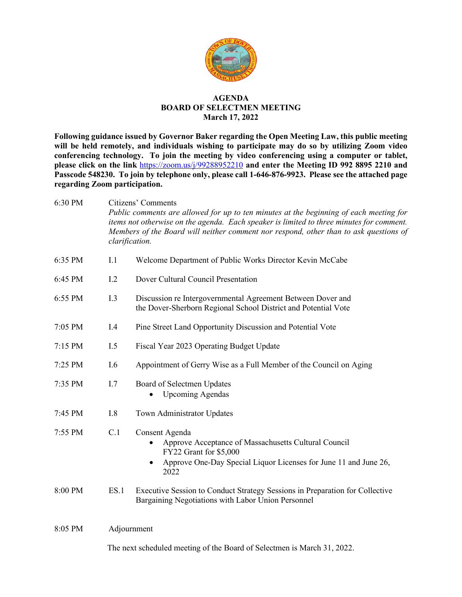

#### **AGENDA BOARD OF SELECTMEN MEETING March 17, 2022**

**Following guidance issued by Governor Baker regarding the Open Meeting Law, this public meeting will be held remotely, and individuals wishing to participate may do so by utilizing Zoom video conferencing technology. To join the meeting by video conferencing using a computer or tablet, please click on the link** <https://zoom.us/j/99288952210> **and enter the Meeting ID 992 8895 2210 and Passcode 548230. To join by telephone only, please call 1-646-876-9923. Please see the attached page regarding Zoom participation.**

6:30 PM Citizens' Comments *Public comments are allowed for up to ten minutes at the beginning of each meeting for items not otherwise on the agenda. Each speaker is limited to three minutes for comment. Members of the Board will neither comment nor respond, other than to ask questions of clarification.* 

| 6:35 PM | I.1  | Welcome Department of Public Works Director Kevin McCabe                                                                                                                     |
|---------|------|------------------------------------------------------------------------------------------------------------------------------------------------------------------------------|
| 6:45 PM | 1.2  | Dover Cultural Council Presentation                                                                                                                                          |
| 6:55 PM | I.3  | Discussion re Intergovernmental Agreement Between Dover and<br>the Dover-Sherborn Regional School District and Potential Vote                                                |
| 7:05 PM | I.4  | Pine Street Land Opportunity Discussion and Potential Vote                                                                                                                   |
| 7:15 PM | I.5  | Fiscal Year 2023 Operating Budget Update                                                                                                                                     |
| 7:25 PM | I.6  | Appointment of Gerry Wise as a Full Member of the Council on Aging                                                                                                           |
| 7:35 PM | I.7  | Board of Selectmen Updates<br><b>Upcoming Agendas</b>                                                                                                                        |
| 7:45 PM | I.8  | Town Administrator Updates                                                                                                                                                   |
| 7:55 PM | C.1  | Consent Agenda<br>Approve Acceptance of Massachusetts Cultural Council<br>FY22 Grant for \$5,000<br>Approve One-Day Special Liquor Licenses for June 11 and June 26,<br>2022 |
| 8:00 PM | ES.1 | Executive Session to Conduct Strategy Sessions in Preparation for Collective<br>Bargaining Negotiations with Labor Union Personnel                                           |
| 8:05 PM |      | Adjournment                                                                                                                                                                  |
|         |      | The next scheduled meeting of the Board of Selectmen is March 31, 2022.                                                                                                      |